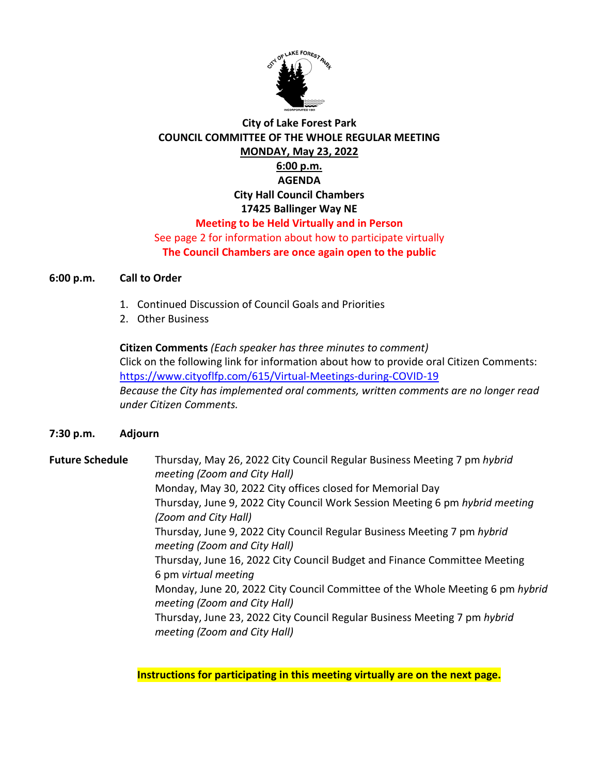

## **City of Lake Forest Park COUNCIL COMMITTEE OF THE WHOLE REGULAR MEETING MONDAY, May 23, 2022 6:00 p.m. AGENDA City Hall Council Chambers 17425 Ballinger Way NE Meeting to be Held Virtually and in Person** See page 2 for information about how to participate virtually

**The Council Chambers are once again open to the public**

## **6:00 p.m. Call to Order**

- 1. Continued Discussion of Council Goals and Priorities
- 2. Other Business

**Citizen Comments** *(Each speaker has three minutes to comment)* Click on the following link for information about how to provide oral Citizen Comments: <https://www.cityoflfp.com/615/Virtual-Meetings-during-COVID-19> *Because the City has implemented oral comments, written comments are no longer read under Citizen Comments.*

## **7:30 p.m. Adjourn**

**Future Schedule** Thursday, May 26, 2022 City Council Regular Business Meeting 7 pm *hybrid meeting (Zoom and City Hall)* Monday, May 30, 2022 City offices closed for Memorial Day Thursday, June 9, 2022 City Council Work Session Meeting 6 pm *hybrid meeting (Zoom and City Hall)* Thursday, June 9, 2022 City Council Regular Business Meeting 7 pm *hybrid meeting (Zoom and City Hall)* Thursday, June 16, 2022 City Council Budget and Finance Committee Meeting 6 pm *virtual meeting* Monday, June 20, 2022 City Council Committee of the Whole Meeting 6 pm *hybrid meeting (Zoom and City Hall)* Thursday, June 23, 2022 City Council Regular Business Meeting 7 pm *hybrid meeting (Zoom and City Hall)*

**Instructions for participating in this meeting virtually are on the next page.**